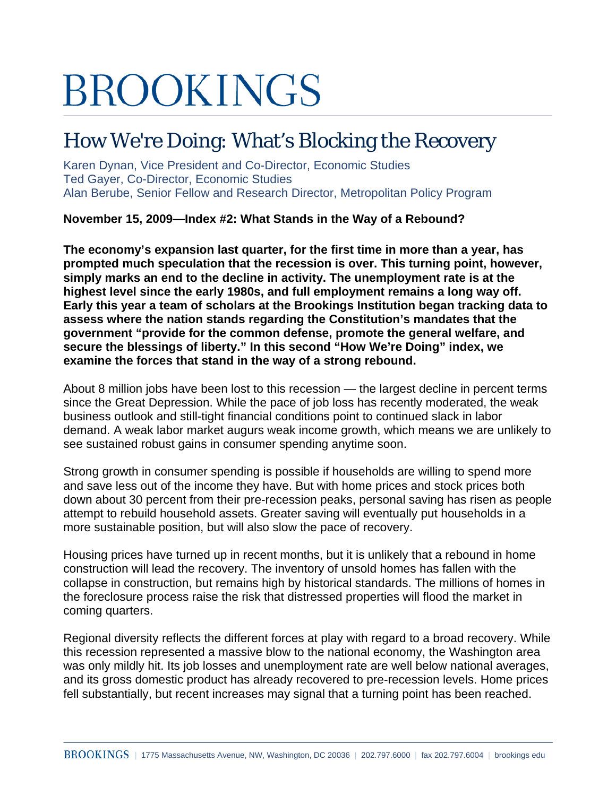# **BROOKINGS**

## How We're Doing: What's Blocking the Recovery

Karen Dynan, Vice President and Co-Director, Economic Studies Ted Gayer, Co-Director, Economic Studies Alan Berube, Senior Fellow and Research Director, Metropolitan Policy Program

**November 15, 2009—Index #2: What Stands in the Way of a Rebound?** 

**The economy's expansion last quarter, for the first time in more than a year, has prompted much speculation that the recession is over. This turning point, however, simply marks an end to the decline in activity. The unemployment rate is at the highest level since the early 1980s, and full employment remains a long way off. Early this year a team of scholars at the Brookings Institution began tracking data to assess where the nation stands regarding the Constitution's mandates that the government "provide for the common defense, promote the general welfare, and secure the blessings of liberty." In this second "How We're Doing" index, we examine the forces that stand in the way of a strong rebound.** 

About 8 million jobs have been lost to this recession — the largest decline in percent terms since the Great Depression. While the pace of job loss has recently moderated, the weak business outlook and still-tight financial conditions point to continued slack in labor demand. A weak labor market augurs weak income growth, which means we are unlikely to see sustained robust gains in consumer spending anytime soon.

Strong growth in consumer spending is possible if households are willing to spend more and save less out of the income they have. But with home prices and stock prices both down about 30 percent from their pre-recession peaks, personal saving has risen as people attempt to rebuild household assets. Greater saving will eventually put households in a more sustainable position, but will also slow the pace of recovery.

Housing prices have turned up in recent months, but it is unlikely that a rebound in home construction will lead the recovery. The inventory of unsold homes has fallen with the collapse in construction, but remains high by historical standards. The millions of homes in the foreclosure process raise the risk that distressed properties will flood the market in coming quarters.

Regional diversity reflects the different forces at play with regard to a broad recovery. While this recession represented a massive blow to the national economy, the Washington area was only mildly hit. Its job losses and unemployment rate are well below national averages, and its gross domestic product has already recovered to pre-recession levels. Home prices fell substantially, but recent increases may signal that a turning point has been reached.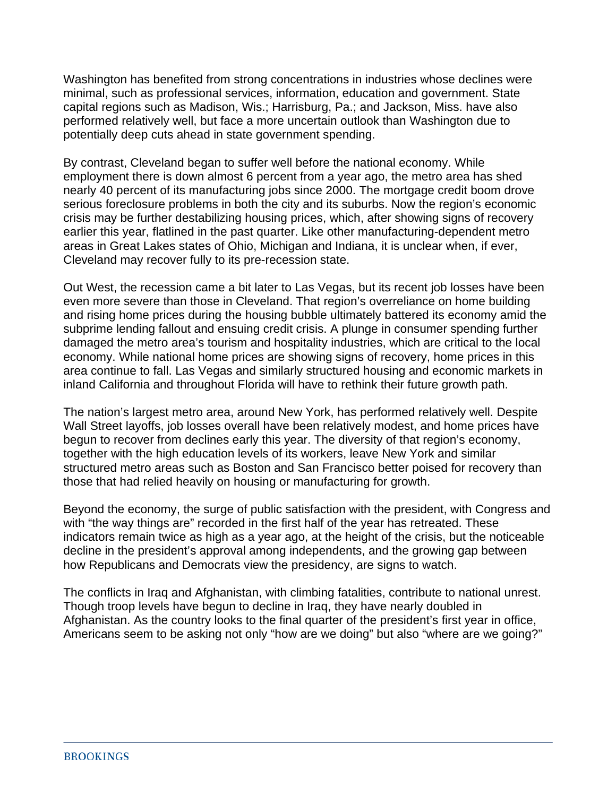Washington has benefited from strong concentrations in industries whose declines were minimal, such as professional services, information, education and government. State capital regions such as Madison, Wis.; Harrisburg, Pa.; and Jackson, Miss. have also performed relatively well, but face a more uncertain outlook than Washington due to potentially deep cuts ahead in state government spending.

By contrast, Cleveland began to suffer well before the national economy. While employment there is down almost 6 percent from a year ago, the metro area has shed nearly 40 percent of its manufacturing jobs since 2000. The mortgage credit boom drove serious foreclosure problems in both the city and its suburbs. Now the region's economic crisis may be further destabilizing housing prices, which, after showing signs of recovery earlier this year, flatlined in the past quarter. Like other manufacturing-dependent metro areas in Great Lakes states of Ohio, Michigan and Indiana, it is unclear when, if ever, Cleveland may recover fully to its pre-recession state.

Out West, the recession came a bit later to Las Vegas, but its recent job losses have been even more severe than those in Cleveland. That region's overreliance on home building and rising home prices during the housing bubble ultimately battered its economy amid the subprime lending fallout and ensuing credit crisis. A plunge in consumer spending further damaged the metro area's tourism and hospitality industries, which are critical to the local economy. While national home prices are showing signs of recovery, home prices in this area continue to fall. Las Vegas and similarly structured housing and economic markets in inland California and throughout Florida will have to rethink their future growth path.

The nation's largest metro area, around New York, has performed relatively well. Despite Wall Street layoffs, job losses overall have been relatively modest, and home prices have begun to recover from declines early this year. The diversity of that region's economy, together with the high education levels of its workers, leave New York and similar structured metro areas such as Boston and San Francisco better poised for recovery than those that had relied heavily on housing or manufacturing for growth.

Beyond the economy, the surge of public satisfaction with the president, with Congress and with "the way things are" recorded in the first half of the year has retreated. These indicators remain twice as high as a year ago, at the height of the crisis, but the noticeable decline in the president's approval among independents, and the growing gap between how Republicans and Democrats view the presidency, are signs to watch.

The conflicts in Iraq and Afghanistan, with climbing fatalities, contribute to national unrest. Though troop levels have begun to decline in Iraq, they have nearly doubled in Afghanistan. As the country looks to the final quarter of the president's first year in office, Americans seem to be asking not only "how are we doing" but also "where are we going?"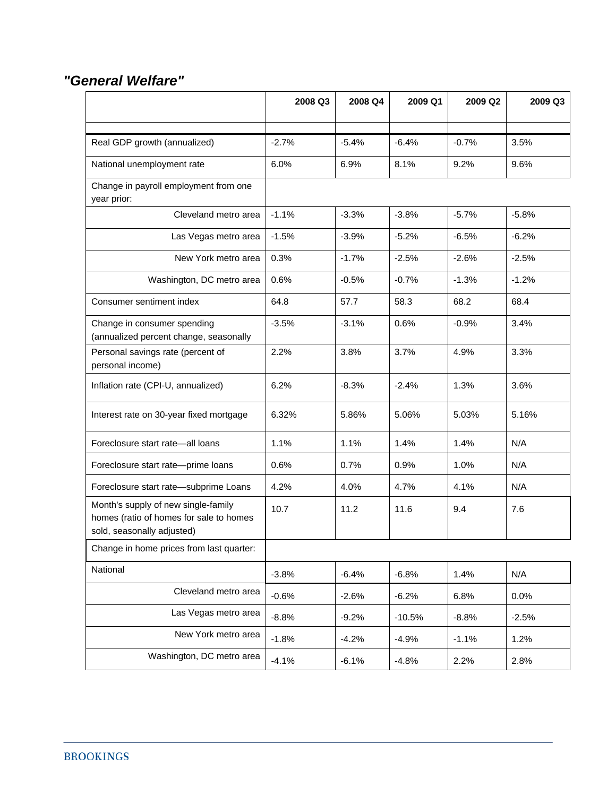#### *"General Welfare"*

|                                                                                                              | 2008 Q3 | 2008 Q4 | 2009 Q1  | 2009 Q2 | 2009 Q3 |
|--------------------------------------------------------------------------------------------------------------|---------|---------|----------|---------|---------|
|                                                                                                              |         |         |          |         |         |
| Real GDP growth (annualized)                                                                                 | $-2.7%$ | $-5.4%$ | $-6.4%$  | $-0.7%$ | 3.5%    |
| National unemployment rate                                                                                   | 6.0%    | 6.9%    | 8.1%     | 9.2%    | 9.6%    |
| Change in payroll employment from one<br>year prior:                                                         |         |         |          |         |         |
| Cleveland metro area                                                                                         | $-1.1%$ | $-3.3%$ | $-3.8%$  | $-5.7%$ | $-5.8%$ |
| Las Vegas metro area                                                                                         | $-1.5%$ | $-3.9%$ | $-5.2%$  | $-6.5%$ | $-6.2%$ |
| New York metro area                                                                                          | 0.3%    | $-1.7%$ | $-2.5%$  | $-2.6%$ | $-2.5%$ |
| Washington, DC metro area                                                                                    | 0.6%    | $-0.5%$ | $-0.7%$  | $-1.3%$ | $-1.2%$ |
| Consumer sentiment index                                                                                     | 64.8    | 57.7    | 58.3     | 68.2    | 68.4    |
| Change in consumer spending<br>(annualized percent change, seasonally                                        | $-3.5%$ | $-3.1%$ | 0.6%     | $-0.9%$ | 3.4%    |
| Personal savings rate (percent of<br>personal income)                                                        | 2.2%    | 3.8%    | 3.7%     | 4.9%    | 3.3%    |
| Inflation rate (CPI-U, annualized)                                                                           | 6.2%    | $-8.3%$ | $-2.4%$  | 1.3%    | 3.6%    |
| Interest rate on 30-year fixed mortgage                                                                      | 6.32%   | 5.86%   | 5.06%    | 5.03%   | 5.16%   |
| Foreclosure start rate-all loans                                                                             | 1.1%    | 1.1%    | 1.4%     | 1.4%    | N/A     |
| Foreclosure start rate-prime loans                                                                           | 0.6%    | 0.7%    | 0.9%     | 1.0%    | N/A     |
| Foreclosure start rate-subprime Loans                                                                        | 4.2%    | 4.0%    | 4.7%     | 4.1%    | N/A     |
| Month's supply of new single-family<br>homes (ratio of homes for sale to homes<br>sold, seasonally adjusted) | 10.7    | 11.2    | 11.6     | 9.4     | 7.6     |
| Change in home prices from last quarter:                                                                     |         |         |          |         |         |
| National                                                                                                     | $-3.8%$ | $-6.4%$ | $-6.8%$  | 1.4%    | N/A     |
| Cleveland metro area                                                                                         | $-0.6%$ | $-2.6%$ | $-6.2%$  | 6.8%    | 0.0%    |
| Las Vegas metro area                                                                                         | $-8.8%$ | $-9.2%$ | $-10.5%$ | $-8.8%$ | $-2.5%$ |
| New York metro area                                                                                          | $-1.8%$ | $-4.2%$ | $-4.9%$  | $-1.1%$ | 1.2%    |
| Washington, DC metro area                                                                                    | $-4.1%$ | $-6.1%$ | $-4.8%$  | 2.2%    | 2.8%    |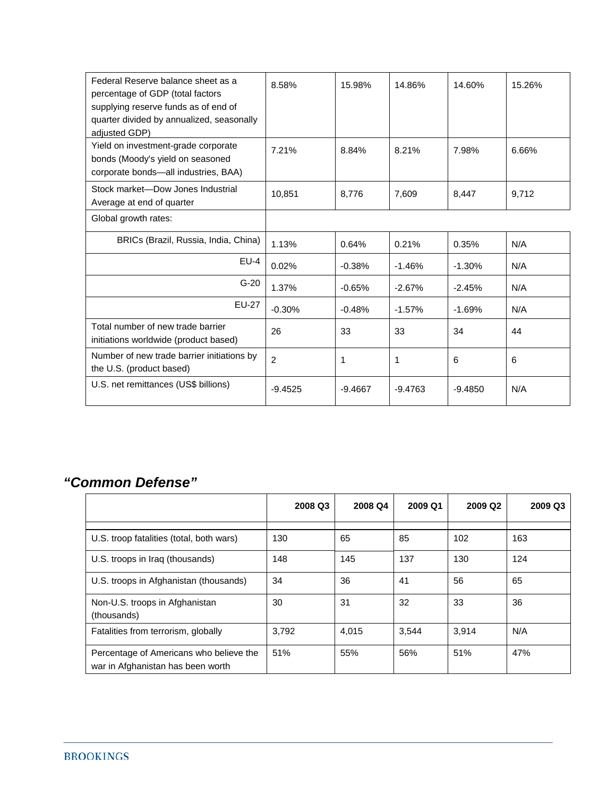| Federal Reserve balance sheet as a<br>percentage of GDP (total factors<br>supplying reserve funds as of end of<br>quarter divided by annualized, seasonally | 8.58%          | 15.98%    | 14.86%    | 14.60%    | 15.26% |
|-------------------------------------------------------------------------------------------------------------------------------------------------------------|----------------|-----------|-----------|-----------|--------|
| adiusted GDP)<br>Yield on investment-grade corporate<br>bonds (Moody's yield on seasoned<br>corporate bonds-all industries, BAA)                            | 7.21%          | 8.84%     | 8.21%     | 7.98%     | 6.66%  |
| Stock market-Dow Jones Industrial<br>Average at end of quarter                                                                                              | 10,851         | 8.776     | 7,609     | 8,447     | 9.712  |
| Global growth rates:                                                                                                                                        |                |           |           |           |        |
| BRICs (Brazil, Russia, India, China)                                                                                                                        | 1.13%          | 0.64%     | 0.21%     | 0.35%     | N/A    |
| $EU-4$                                                                                                                                                      | 0.02%          | $-0.38%$  | $-1.46%$  | $-1.30%$  | N/A    |
| $G-20$                                                                                                                                                      | 1.37%          | $-0.65%$  | $-2.67%$  | $-2.45%$  | N/A    |
| <b>EU-27</b>                                                                                                                                                | $-0.30%$       | $-0.48%$  | $-1.57%$  | $-1.69%$  | N/A    |
| Total number of new trade barrier<br>initiations worldwide (product based)                                                                                  | 26             | 33        | 33        | 34        | 44     |
| Number of new trade barrier initiations by<br>the U.S. (product based)                                                                                      | $\overline{2}$ | 1         | 1         | 6         | 6      |
| U.S. net remittances (US\$ billions)                                                                                                                        | $-9.4525$      | $-9.4667$ | $-9.4763$ | $-9.4850$ | N/A    |

### *"Common Defense"*

|                                                                              | 2008 Q3 | 2008 Q4 | 2009 Q1 | 2009 Q <sub>2</sub> | 2009 Q3 |
|------------------------------------------------------------------------------|---------|---------|---------|---------------------|---------|
|                                                                              |         |         |         |                     |         |
| U.S. troop fatalities (total, both wars)                                     | 130     | 65      | 85      | 102                 | 163     |
| U.S. troops in Iraq (thousands)                                              | 148     | 145     | 137     | 130                 | 124     |
| U.S. troops in Afghanistan (thousands)                                       | 34      | 36      | 41      | 56                  | 65      |
| Non-U.S. troops in Afghanistan<br>(thousands)                                | 30      | 31      | 32      | 33                  | 36      |
| Fatalities from terrorism, globally                                          | 3.792   | 4.015   | 3,544   | 3.914               | N/A     |
| Percentage of Americans who believe the<br>war in Afghanistan has been worth | 51%     | 55%     | 56%     | 51%                 | 47%     |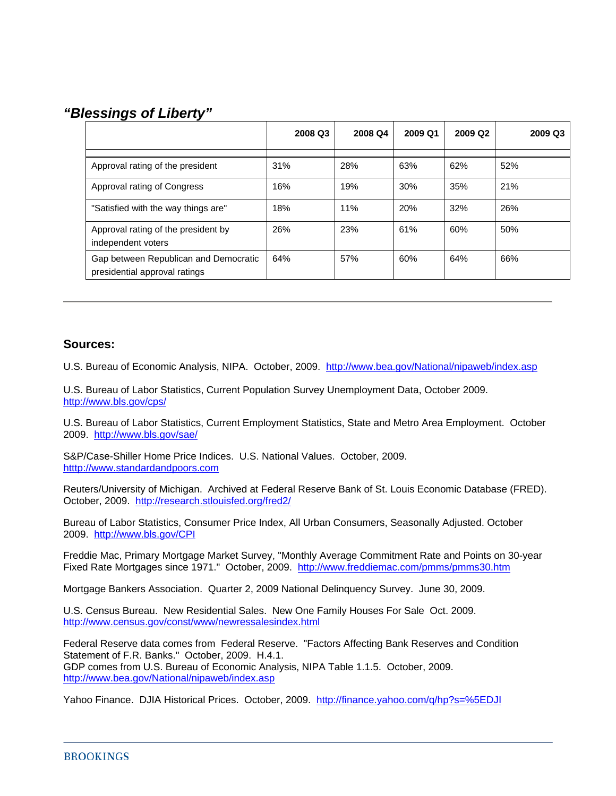#### *"Blessings of Liberty"*

|                                                                        | 2008 Q3 | 2008 Q4 | 2009 Q1 | 2009 Q <sub>2</sub> | 2009 Q3 |
|------------------------------------------------------------------------|---------|---------|---------|---------------------|---------|
| Approval rating of the president                                       | 31%     | 28%     | 63%     | 62%                 | 52%     |
| Approval rating of Congress                                            | 16%     | 19%     | 30%     | 35%                 | 21%     |
| "Satisfied with the way things are"                                    | 18%     | 11%     | 20%     | 32%                 | 26%     |
| Approval rating of the president by<br>independent voters              | 26%     | 23%     | 61%     | 60%                 | 50%     |
| Gap between Republican and Democratic<br>presidential approval ratings | 64%     | 57%     | 60%     | 64%                 | 66%     |

#### **Sources:**

U.S. Bureau of Economic Analysis, NIPA. October, 2009. http://www.bea.gov/National/nipaweb/index.asp

U.S. Bureau of Labor Statistics, Current Population Survey Unemployment Data, October 2009. http://www.bls.gov/cps/

U.S. Bureau of Labor Statistics, Current Employment Statistics, State and Metro Area Employment. October 2009. http://www.bls.gov/sae/

S&P/Case-Shiller Home Price Indices. U.S. National Values. October, 2009. htttp://www.standardandpoors.com

Reuters/University of Michigan. Archived at Federal Reserve Bank of St. Louis Economic Database (FRED). October, 2009. http://research.stlouisfed.org/fred2/

Bureau of Labor Statistics, Consumer Price Index, All Urban Consumers, Seasonally Adjusted. October 2009. http://www.bls.gov/CPI

Freddie Mac, Primary Mortgage Market Survey, "Monthly Average Commitment Rate and Points on 30-year Fixed Rate Mortgages since 1971." October, 2009. http://www.freddiemac.com/pmms/pmms30.htm

Mortgage Bankers Association. Quarter 2, 2009 National Delinquency Survey. June 30, 2009.

U.S. Census Bureau. New Residential Sales. New One Family Houses For Sale Oct. 2009. http://www.census.gov/const/www/newressalesindex.html

Federal Reserve data comes from Federal Reserve. "Factors Affecting Bank Reserves and Condition Statement of F.R. Banks." October, 2009. H.4.1. GDP comes from U.S. Bureau of Economic Analysis, NIPA Table 1.1.5. October, 2009. http://www.bea.gov/National/nipaweb/index.asp

Yahoo Finance. DJIA Historical Prices. October, 2009. http://finance.yahoo.com/q/hp?s=%5EDJI